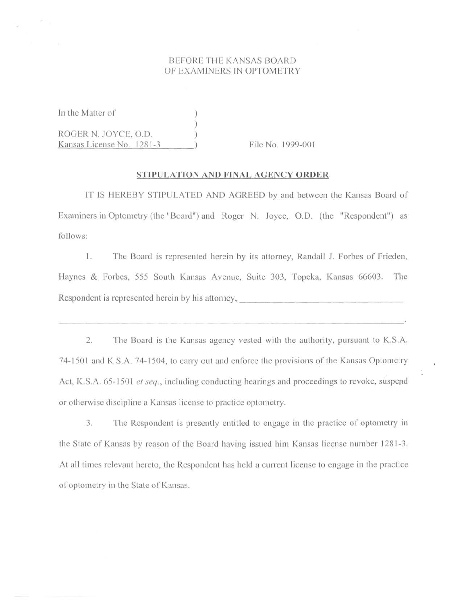### **BEFORE THE KANSAS BOARD** OF EXAMINERS IN OPTOMETRY

In the Matter of )

ROGER N. JOYCE, O.D. *)*  Kansas License No. 1281-3 ) File No. 1999-001

#### **STIPULATION AND FINAL AGENCY ORDER**

)

IT IS HEREBY STIPULATED AND AGREED by and between the Kansas Board of Examiners in Optometry (the "Board") and Roger N. Joyce, O.D. (the "Respondent") as follows:

1. The Board is represented herein by its atlorney, Randall J. Forbes of Frieden, Haynes & Forbes, 555 South Kansas Avenue, Suite 303, Topeka, Kansas 66603. The Respondent is represented herein by his attorney,

2. The Board is the Kansas agency vested with the authority, pursuant to K.S.A. 74-1501 and K.S.A. 74-1504, to carry out and enforce the provisions of the Kansas Optometry Act, K.S.A. 65-1501 *et seq.*, including conducting hearings and proceedings to revoke, suspend or otherwise discipline a Kansas license to practice optometry.

3. The Respondent is presently entitled to engage in the practice of optometry in the State of Kansas by reason of the Board having issued him Kansas license number 1281-3. At all times relevant hereto, the Respondent has held a current license to engage in the practice of optometry in the Stale of Kansas.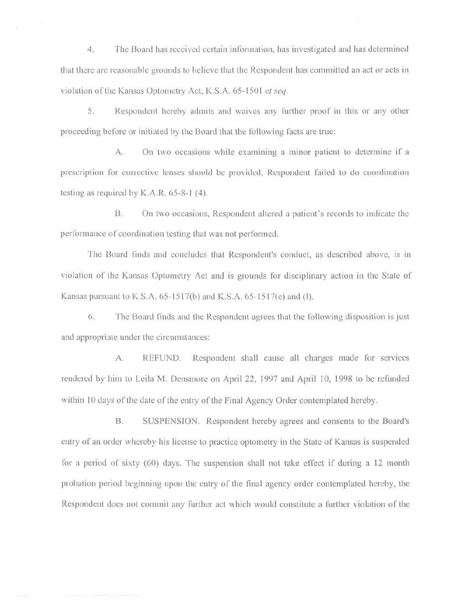4. The Board has received certain information, has investigated and has determined that there are reasonable grounds to believe that the Respondent has committed an act or acts in violation of the Kansas Optometry Act, K.S.A. 65-1501 et seq.

5. Respondent hereby admits and waives any further proof in this or any other proceeding before or initiated by the Board that the following facts arc true:

A. On two occasions while examining a minor patient to determine if a prescription for corrective lenses should be provided, Respondent failed to do coordination testing as required by K.A.R. 65-8-1 (4).

8. On two occasions, Respondent altered a patient's records to indicate the performance of coordination testing that was not performed.

The Board finds aml concludes that Respondent's conduct, as described above, is in violation of the Kansas Oplomclry Acl and is grounds for disciplinary action in the Stale of Kansas pursuant to K.S.A.  $65-1517(b)$  and K.S.A.  $65-1517(e)$  and (I).

6. The Board finds and the Respondent agrees that the following disposition is just and appropriate under the circumstances:

A. REFUND. Respondent shall cause all charges made for services rendered by him to Leila M. Densmore on April 22, 1997 and April 10, 1998 to be refunded within 10 days of the date of the entry of the Final Agency Order contemplated hereby.

B. SUSPENSION. Respondent hereby agrees and consents to the Board's entry of an order whereby his license to practice optometry in the State of Kansas is suspended for a period of sixty (60) days. The suspension shall not take effect if during a 12 month probation period beginning upon the entry of the final agency order contemplated hereby, the Respondent docs not commit any further act which would constitute a further violation of the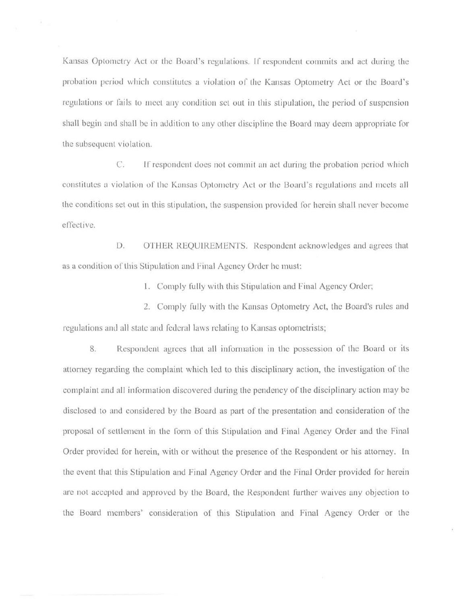Kansas Optometry Act or the Board's regulations. Ir respondent commits and act during the probation period which constitutes a violation of lhe Kansas Optometry Act or lhe Board's regulations or fails to meet any condition set out in this stipulation, the period of suspension shall begin and shall be in addition to any other discipline the Board may deem appropriate for the subsequent violation.

C. If respondent does not commit an act during the probation period which constitutes a violation of the Kansas Optometry Act or the Board's regulations and meets all the conditions set out in this stipulation, the suspension provided for herein shall never become effective.

D. OTHER REQUIREMENTS. Respondent acknowledges and agrees that as a condition of this Stipulation and Final Agency Order he must:

1. Comply fully with this Stipulation and Final Agency Order;

2. Comply fully with the Kansas Optometry Act, the Board's rules and regulations and all state and federal laws relating to Kansas optometrists;

8. Respondent agrees that all information in the possession of the Board or its attorney regarding the complaint which led to this disciplinary action, the investigation of the complaint and all information discovered during the pendency of the disciplinary action may be disclosed to and considered by the Board as part of the presentation and consideration of the proposal of settlement in the form of this Stipulation and Final Agency Order and the Final Order provided for herein, with or without the presence of the Respondent or his attorney. In the event that this Stipulation and Final Agency Order and the Final Order provided for herein are not accepted and approved by the Board, the Respondent further waives any objection to the Board members' consideration of this Stipulation and Final Agency Order or the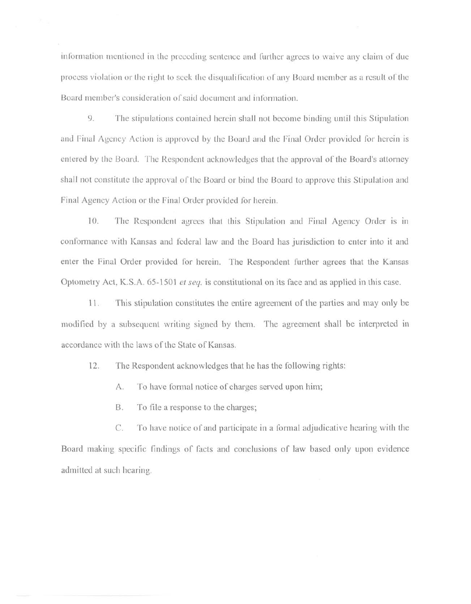information mentioned in the preceding sentence and further agrees to waive any claim of due process violation or the right to seek the disqualification of any Board member as a result of the Board member's consideration of said document and information.

9. The stipulations contained herein shall not become binding until this Stipulation and Final Agency Action is approved by the Board and the Final Order provided for herein is entered by the Board. The Respondent acknowledges that the approval of the Board's attorney shall not constitute the approval of the Board or bind the Board to approve this Stipulation and Final Agency Action or the Final Order provided for herein.

10. The Respondent agrees that this Stipulation and Final Agency Order is in conformance with Kansas and federal law and the Board has jurisdiction to enter into it and enter the Final Order provided for herein. The Respondent further agrees that the Kansas Optometry Act, K.S.A.  $65-1501$  *et seq.* is constitutional on its face and as applied in this case.

11. This stipulation constitutes the entire agreement of the parties and may only be modified by a subsequent writing signed by them. The agreement shall be interpreted in accordance with the laws of the State of Kansas.

12. The Respondent acknowledges that he has the following rights:

A. To have formal notice of charges served upon him;

B. To file a response to the charges;

C. To have notice of and participate in a formal adjudicative hearing with the Board making specific findings of facts and conclusions of law based only upon evidence admitted at such hearing.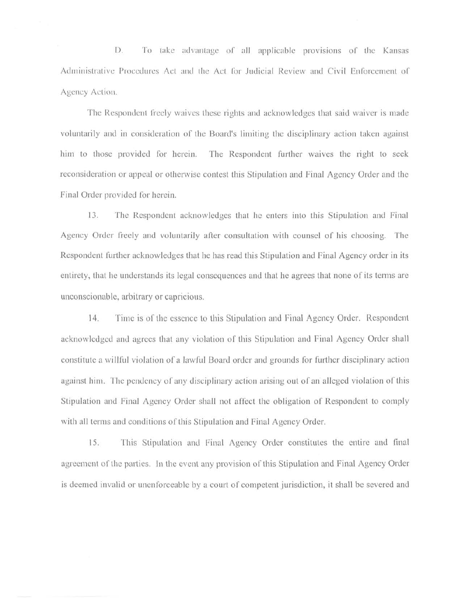D. To take advantage of all applicable provisions of the Kansas Administrative Procedures Act and the Act for Judicial Review and Civil Enforcement of Agency Action.

The Respondent freely waives these rights and acknowledges that said waiver is made voluntarily and in consideration or the Board's limiting the disciplinary action taken against him to those provided for herein. The Respondent further waives the right to seek reconsideration or appeal or otherwise contest this Stipulation and Final Agency Order and the Final Order provided for herein.

13. The Respondent acknowledges that he enters into this Stipulation and Final Agency Order freely and voluntarily after consultation with counsel of his choosing. The Respondent further acknowledges that he has read this Stipulation and Final Agency order in its entirety, that he understands its legal consequences and that he agrees that none of its terms arc unconscionable, arbitrary or capricious.

14. Time is of the essence to this Stipulation and Final Agency Order. Respondent acknowledged and agrees that any violation of this Stipulation and Final Agency Order shall constitute a willful violation of a lawful Board order and grounds for further disciplinary action against him. The pendency of any disciplinary action arising out of an alleged violation of this Stipulation and Final Agency Order shall not affect the obligation of Respondent to comply with all terms and conditions of this Stipulation and Final Agency Order.

15. This Stipulation and Final Agency Order constitutes the entire and final agreement of the parties. In the event any provision of this Stipulation and Final Agency Order is deemed invalid or unenforceable by a court of competent jurisdiction, it shall be severed and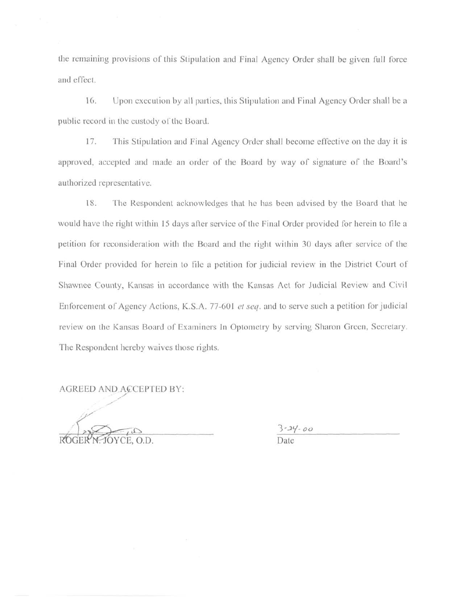the remaining provisions of this Stipulation and Final Agency Order shall be given full force and effect.

16. Upon execution by al! parties, this Stipulation and Final Agency Order shall be a public record in the custody of the Board.

17. This Stipulation aml Final Agency Order shall become effective on the day it is approved, accepted and made an order of the Board by way of signature of the Board's authorized representative.

18. The Respondent acknowledges that he has been advised by the Board that he would have the right within 15 days after service of the Final Order provided for herein to file a petition for reconsideration with the Board and the right within 30 days after service of the Final Order provided for herein to file a petition for judicial review in the District Court of Shawnee County, Kansas in accordance with the Kansas Act for Judicial Review and Civil Enforcement of Agency Actions, K.S.A. 77-60 I *et seq.* and to serve such a petition for judicial review on the Kansas Board of Examiners Jn Optometry by serving Sharon Green, Secretary. The Respondent hereby waives those rights.

AGREED AND ACCEPTED BY:

OYCE. O.D.

 $3 - 24 - 00$ Date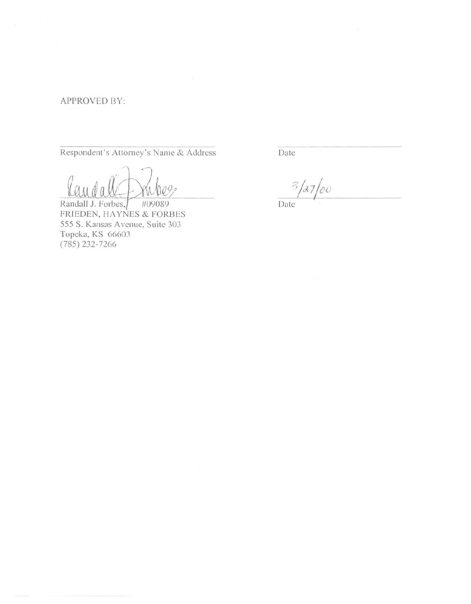# APPROVED BY:

Respondent's Attorney's Name & Address

 $q_{\mathcal{I}}$ 

Randall J. Forbes, #09089 FRIEDEN, HAYNES & FORBES 555 S. Kansas Avenue, Suite 303 Topeka, KS 66603 (785) 232-7266

Date

 $\mathcal{Z}$  $a_7/20$ 

X.

Date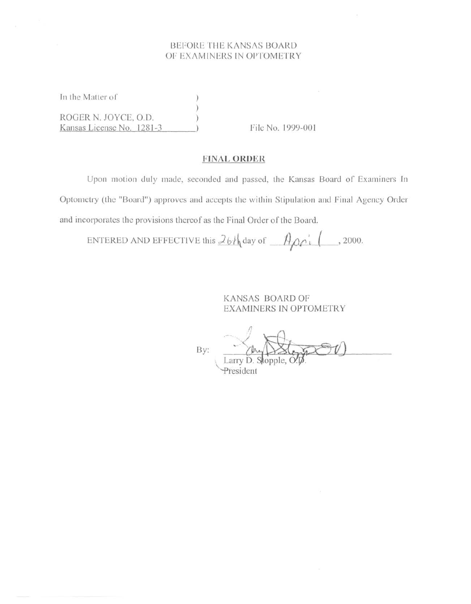## BEFORE THE KANSAS BOARD OF EXAMINERS IN OPTOMETRY

In the Matter of ROGER N. JOYCE, O.D. Kansas License No. 1281-3

File No. 1999-001

### **FINAL ORDER**

Upon motion duly made, seconded and passed, the Kansas Board of Examiners In Optometry (the "Board") approves and accepts the within Stipulation and Final Agency Order and incorporates the provisions thereof as the Final Order of the Board.

ENTERED AND EFFECTIVE this  $26h$  day of  $A \rho c$   $\rightarrow$  2000.

**KANSAS BOARD OF EXAMINERS IN OPTOMETRY** 

By:

President